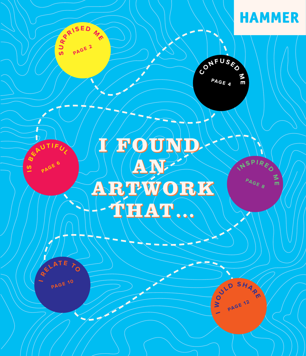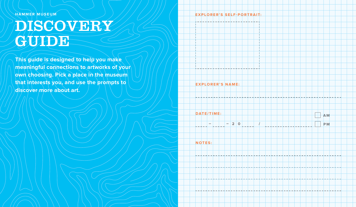**HAMMER MUSEUM** 

# DISCOVERY GUIDE<sup></sup>

**This guide is designed to help you make meaningful connections to artworks of your**  own choosing. Rick a place in the museum **that interests you, and use the prompts to discover more about art.**

**EXPLORER'S SELF-PORTRAIT:**

**EXPLORER'S NAME:**

**– – 2 0**

**A M**

**/ P M**

**NOTES:**

**DATE/TIME:**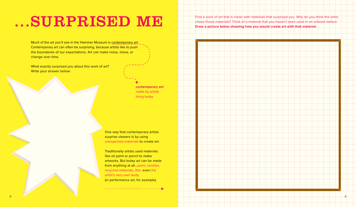### ...SURPRISED ME

Much of the art you'll see in the Hammer Museum is contemporary art. Contemporary art can often be surprising, because artists like to push the boundaries of our expectations. Art can make noise, move, or change over time.

What exactly surprised you about this work of art? Write your answer below:

> **contemporary art:** made by artists living today

One way that contemporary artists surprise viewers is by using unexpected materials to create art.

Traditionally artists used materials like oil paint or pencil to make artworks. But today art can be made from anything at all…paint, candies, recycled materials, film, even the artist's very own body (in performance art, for example).

Find a work of art that is made with materials that surprised you. Why do you think the artist chose those materials? Think of a material that you haven't seen used in an artwork before. **Draw a picture below showing how you would create art with that material:**

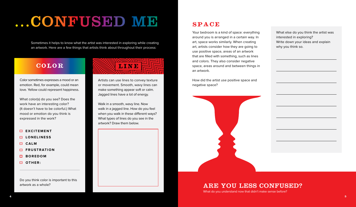# ...CONFUSED ME

Sometimes it helps to know what the artist was interested in exploring while creating an artwork. Here are a few things that artists think about throughout their process:

Color sometimes expresses a mood or an emotion. Red, for example, could mean love. Yellow could represent happiness.

What color(s) do you see? Does the work have an interesting color? (It doesn't have to be colorful.) What mood or emotion do you think is expressed in the work?

- **EXCITEMENT**
- **LONELINESS**
- **CALM**
- **FRUSTRATION**
- **BOREDOM**
- **D** OTHER:

Do you think color is important to this artwork as a whole?



Artists can use lines to convey texture or movement. Smooth, wavy lines can make something appear soft or calm. Jagged lines have a lot of energy.

Walk in a smooth, wavy line. Now walk in a jagged line. How do you feel when you walk in these different ways? What types of lines do you see in the artwork? Draw them below.

#### SPACE

Your bedroom is a kind of space: everything around you is arranged in a certain way. In art, space works similarly. When creating art, artists consider how they are going to use positive space, areas of an artwork that are filled with something, such as lines and colors. They also consider negative space, areas around and between things in an artwork.

How did the artist use positive space and negative space?



What else do you think the artist was interested in exploring? Write down your ideas and explain why you think so.

#### ARE YOU LESS CONFUSED?

What do you understand now that didn't make sense before?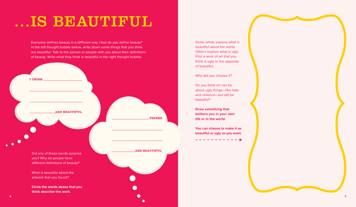## ...IS BEAUTIFUL

Everyone defines beauty in a different way. How do you define beauty? In the left thought bubble below, write down some things that you think are beautiful. Talk to the person or people with you about their definitions of beauty. Write what they think is beautiful in the right thought bubble.



Some artists explore what is beautiful about the world. Others explore what is ugly. Find a work of art that you think is ugly or the opposite of beautiful.

Why did you choose it?

Do you think art can be about ugly things—like hate and violence—but still be beautiful?

**Draw something that bothers you in your own life or in the world.** 

**You can choose to make it as beautiful or ugly as you want.**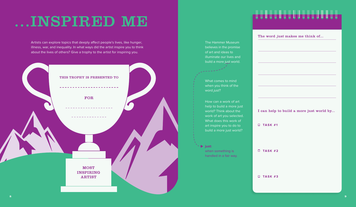## ...INSPIRED ME

Artists can explore topics that deeply affect people's lives, like hunger, illness, war, and inequality. In what ways did the artist inspire you to think about the lives of others? Give a trophy to the artist for inspiring you.



#### The Hammer Museum believes in the promise of art and ideas to illuminate our lives and build a more just world.

What comes to mind when you think of the word just?

How can a work of art help to build a more just world? Think about the work of art you selected. What does this work of art inspire you to do to build a more just world?

**just:** when something is handled in a fair way.

#### ┍**╟╟╟╟╟╟╟╟╟╟╟╟╟╟╟╟╟╟**

The word *just* makes me think of...

I can help to build a more just world by...

**TASK #1**

**TASK #2**

**TASK #3**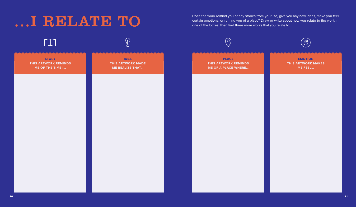Does the work remind you of any stories from your life, give you any new ideas, make you feel<br>certain emotions, or remind you of a place? Draw or write about how you relate to the work in<br>one of the boxes, then find three certain emotions, or remind you of a place? Draw or write about how you relate to the work in one of the boxes, then find three more works that you relate to.

| $\Box$                                                   |                                                                   | $\circledcirc$                                                            | $\circledS$                                            |
|----------------------------------------------------------|-------------------------------------------------------------------|---------------------------------------------------------------------------|--------------------------------------------------------|
| <b>STORY</b><br>THIS ARTWORK REMINDS<br>ME OF THE TIME I | <b>IDEA</b><br><b>THIS ARTWORK MADE</b><br><b>ME REALIZE THAT</b> | <b>PLACE</b><br><b>THIS ARTWORK REMINDS</b><br><b>ME OF A PLACE WHERE</b> | <b>EMOTION</b><br><b>THIS ARTWORK MAKES</b><br>ME FEEL |
|                                                          |                                                                   |                                                                           |                                                        |
|                                                          |                                                                   |                                                                           |                                                        |
|                                                          |                                                                   |                                                                           |                                                        |
|                                                          |                                                                   |                                                                           |                                                        |
|                                                          |                                                                   |                                                                           |                                                        |
|                                                          |                                                                   |                                                                           |                                                        |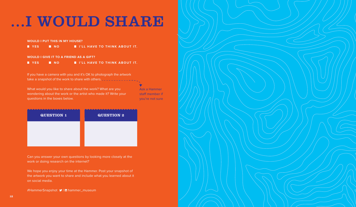## ...I WOULD SHARE

**WOULD I PUT THIS IN MY HOUSE?**

**YES N O I'LL HAVE TO THINK ABOUT IT.**

**WOULD I GIVE IT TO A FRIEND AS A GIFT?**

**YES N O I'LL HAVE TO THINK ABOUT IT.**

If you have a camera with you and it's OK to photograph the artwork take a snapshot of the work to share with others. **The same is a set of the set of the set of the set of the s** 

What would you like to share about the work? What are you wondering about the work or the artist who made it? Write your questions in the boxes below.

Ask a Hammer staff member if you're not sure

÷

Can you answer your own questions by looking more closely at the work or doing research on the internet?

We hope you enjoy your time at the Hammer. Post your snapshot of the artwork you want to share and include what you learned about it on social media.

#HammerSnapshot  $\blacktriangleright$  | ammer\_museum